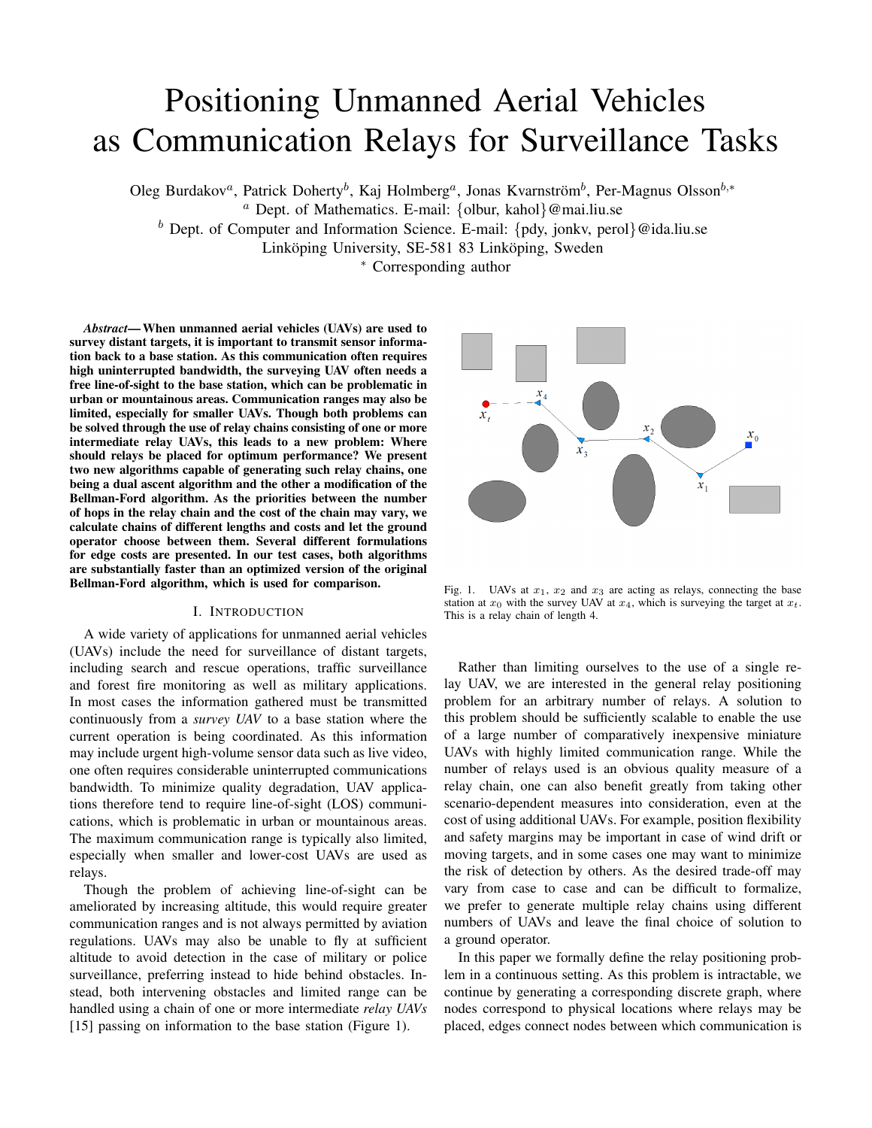# Positioning Unmanned Aerial Vehicles as Communication Relays for Surveillance Tasks

Oleg Burdakov<sup>a</sup>, Patrick Doherty<sup>b</sup>, Kaj Holmberg<sup>a</sup>, Jonas Kvarnström<sup>b</sup>, Per-Magnus Olsson<sup>b,\*</sup> <sup>a</sup> Dept. of Mathematics. E-mail:  $\{$ olbur, kahol $\}$ @mai.liu.se

 $<sup>b</sup>$  Dept. of Computer and Information Science. E-mail: {pdy, jonkv, perol}@ida.liu.se</sup>

Linköping University, SE-581 83 Linköping, Sweden

<sup>∗</sup> Corresponding author

*Abstract*— When unmanned aerial vehicles (UAVs) are used to survey distant targets, it is important to transmit sensor information back to a base station. As this communication often requires high uninterrupted bandwidth, the surveying UAV often needs a free line-of-sight to the base station, which can be problematic in urban or mountainous areas. Communication ranges may also be limited, especially for smaller UAVs. Though both problems can be solved through the use of relay chains consisting of one or more intermediate relay UAVs, this leads to a new problem: Where should relays be placed for optimum performance? We present two new algorithms capable of generating such relay chains, one being a dual ascent algorithm and the other a modification of the Bellman-Ford algorithm. As the priorities between the number of hops in the relay chain and the cost of the chain may vary, we calculate chains of different lengths and costs and let the ground operator choose between them. Several different formulations for edge costs are presented. In our test cases, both algorithms are substantially faster than an optimized version of the original Bellman-Ford algorithm, which is used for comparison.

### I. INTRODUCTION

A wide variety of applications for unmanned aerial vehicles (UAVs) include the need for surveillance of distant targets, including search and rescue operations, traffic surveillance and forest fire monitoring as well as military applications. In most cases the information gathered must be transmitted continuously from a *survey UAV* to a base station where the current operation is being coordinated. As this information may include urgent high-volume sensor data such as live video, one often requires considerable uninterrupted communications bandwidth. To minimize quality degradation, UAV applications therefore tend to require line-of-sight (LOS) communications, which is problematic in urban or mountainous areas. The maximum communication range is typically also limited, especially when smaller and lower-cost UAVs are used as relays.

Though the problem of achieving line-of-sight can be ameliorated by increasing altitude, this would require greater communication ranges and is not always permitted by aviation regulations. UAVs may also be unable to fly at sufficient altitude to avoid detection in the case of military or police surveillance, preferring instead to hide behind obstacles. Instead, both intervening obstacles and limited range can be handled using a chain of one or more intermediate *relay UAVs* [15] passing on information to the base station (Figure 1).



Fig. 1. UAVs at  $x_1$ ,  $x_2$  and  $x_3$  are acting as relays, connecting the base station at  $x_0$  with the survey UAV at  $x_4$ , which is surveying the target at  $x_t$ . This is a relay chain of length 4.

Rather than limiting ourselves to the use of a single relay UAV, we are interested in the general relay positioning problem for an arbitrary number of relays. A solution to this problem should be sufficiently scalable to enable the use of a large number of comparatively inexpensive miniature UAVs with highly limited communication range. While the number of relays used is an obvious quality measure of a relay chain, one can also benefit greatly from taking other scenario-dependent measures into consideration, even at the cost of using additional UAVs. For example, position flexibility and safety margins may be important in case of wind drift or moving targets, and in some cases one may want to minimize the risk of detection by others. As the desired trade-off may vary from case to case and can be difficult to formalize, we prefer to generate multiple relay chains using different numbers of UAVs and leave the final choice of solution to a ground operator.

In this paper we formally define the relay positioning problem in a continuous setting. As this problem is intractable, we continue by generating a corresponding discrete graph, where nodes correspond to physical locations where relays may be placed, edges connect nodes between which communication is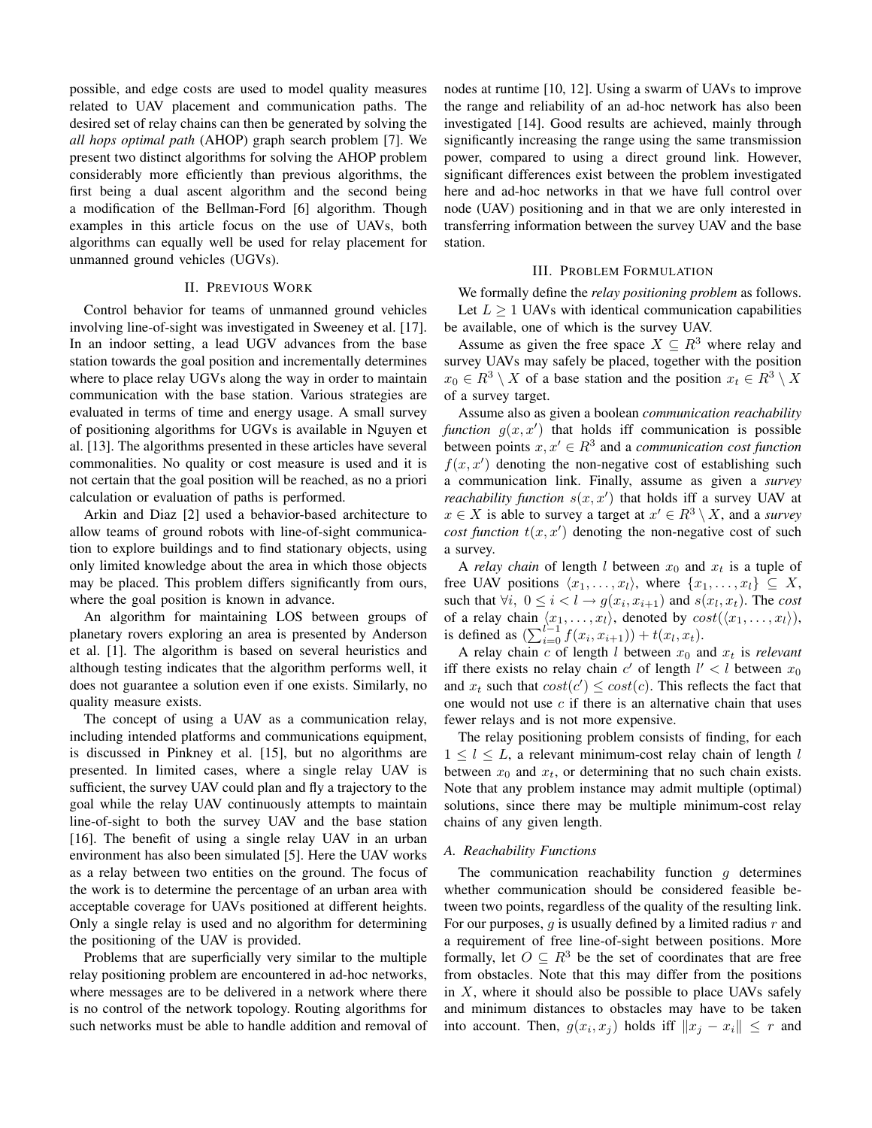possible, and edge costs are used to model quality measures related to UAV placement and communication paths. The desired set of relay chains can then be generated by solving the *all hops optimal path* (AHOP) graph search problem [7]. We present two distinct algorithms for solving the AHOP problem considerably more efficiently than previous algorithms, the first being a dual ascent algorithm and the second being a modification of the Bellman-Ford [6] algorithm. Though examples in this article focus on the use of UAVs, both algorithms can equally well be used for relay placement for unmanned ground vehicles (UGVs).

# II. PREVIOUS WORK

Control behavior for teams of unmanned ground vehicles involving line-of-sight was investigated in Sweeney et al. [17]. In an indoor setting, a lead UGV advances from the base station towards the goal position and incrementally determines where to place relay UGVs along the way in order to maintain communication with the base station. Various strategies are evaluated in terms of time and energy usage. A small survey of positioning algorithms for UGVs is available in Nguyen et al. [13]. The algorithms presented in these articles have several commonalities. No quality or cost measure is used and it is not certain that the goal position will be reached, as no a priori calculation or evaluation of paths is performed.

Arkin and Diaz [2] used a behavior-based architecture to allow teams of ground robots with line-of-sight communication to explore buildings and to find stationary objects, using only limited knowledge about the area in which those objects may be placed. This problem differs significantly from ours, where the goal position is known in advance.

An algorithm for maintaining LOS between groups of planetary rovers exploring an area is presented by Anderson et al. [1]. The algorithm is based on several heuristics and although testing indicates that the algorithm performs well, it does not guarantee a solution even if one exists. Similarly, no quality measure exists.

The concept of using a UAV as a communication relay, including intended platforms and communications equipment, is discussed in Pinkney et al. [15], but no algorithms are presented. In limited cases, where a single relay UAV is sufficient, the survey UAV could plan and fly a trajectory to the goal while the relay UAV continuously attempts to maintain line-of-sight to both the survey UAV and the base station [16]. The benefit of using a single relay UAV in an urban environment has also been simulated [5]. Here the UAV works as a relay between two entities on the ground. The focus of the work is to determine the percentage of an urban area with acceptable coverage for UAVs positioned at different heights. Only a single relay is used and no algorithm for determining the positioning of the UAV is provided.

Problems that are superficially very similar to the multiple relay positioning problem are encountered in ad-hoc networks, where messages are to be delivered in a network where there is no control of the network topology. Routing algorithms for such networks must be able to handle addition and removal of nodes at runtime [10, 12]. Using a swarm of UAVs to improve the range and reliability of an ad-hoc network has also been investigated [14]. Good results are achieved, mainly through significantly increasing the range using the same transmission power, compared to using a direct ground link. However, significant differences exist between the problem investigated here and ad-hoc networks in that we have full control over node (UAV) positioning and in that we are only interested in transferring information between the survey UAV and the base station.

# III. PROBLEM FORMULATION

We formally define the *relay positioning problem* as follows. Let  $L > 1$  UAVs with identical communication capabilities be available, one of which is the survey UAV.

Assume as given the free space  $X \subseteq R^3$  where relay and survey UAVs may safely be placed, together with the position  $x_0 \in R^3 \setminus X$  of a base station and the position  $x_t \in R^3 \setminus X$ of a survey target.

Assume also as given a boolean *communication reachability* function  $g(x, x')$  that holds iff communication is possible between points  $x, x' \in \mathbb{R}^3$  and a *communication cost function*  $f(x, x')$  denoting the non-negative cost of establishing such a communication link. Finally, assume as given a *survey reachability function*  $s(x, x')$  that holds iff a survey UAV at  $x \in X$  is able to survey a target at  $x' \in R^3 \setminus X$ , and a *survey cost function*  $t(x, x')$  denoting the non-negative cost of such a survey.

A *relay chain* of length *l* between  $x_0$  and  $x_t$  is a tuple of free UAV positions  $\langle x_1, \ldots, x_l \rangle$ , where  $\{x_1, \ldots, x_l\} \subseteq X$ , such that  $\forall i, 0 \leq i < l \rightarrow g(x_i, x_{i+1})$  and  $s(x_l, x_t)$ . The *cost* of a relay chain  $\langle x_1, \ldots, x_l \rangle$ , denoted by  $cost(\langle x_1, \ldots, x_l \rangle)$ , is defined as  $(\sum_{i=0}^{l-1} f(x_i, x_{i+1})) + t(x_l, x_t)$ .

A relay chain  $c$  of length  $l$  between  $x_0$  and  $x_t$  is *relevant* iff there exists no relay chain  $c'$  of length  $l' < l$  between  $x_0$ and  $x_t$  such that  $cost(c') \leq cost(c)$ . This reflects the fact that one would not use  $c$  if there is an alternative chain that uses fewer relays and is not more expensive.

The relay positioning problem consists of finding, for each  $1 \leq l \leq L$ , a relevant minimum-cost relay chain of length l between  $x_0$  and  $x_t$ , or determining that no such chain exists. Note that any problem instance may admit multiple (optimal) solutions, since there may be multiple minimum-cost relay chains of any given length.

# *A. Reachability Functions*

The communication reachability function  $q$  determines whether communication should be considered feasible between two points, regardless of the quality of the resulting link. For our purposes,  $g$  is usually defined by a limited radius  $r$  and a requirement of free line-of-sight between positions. More formally, let  $O \subseteq R^3$  be the set of coordinates that are free from obstacles. Note that this may differ from the positions in  $X$ , where it should also be possible to place UAVs safely and minimum distances to obstacles may have to be taken into account. Then,  $g(x_i, x_j)$  holds iff  $||x_j - x_i|| \leq r$  and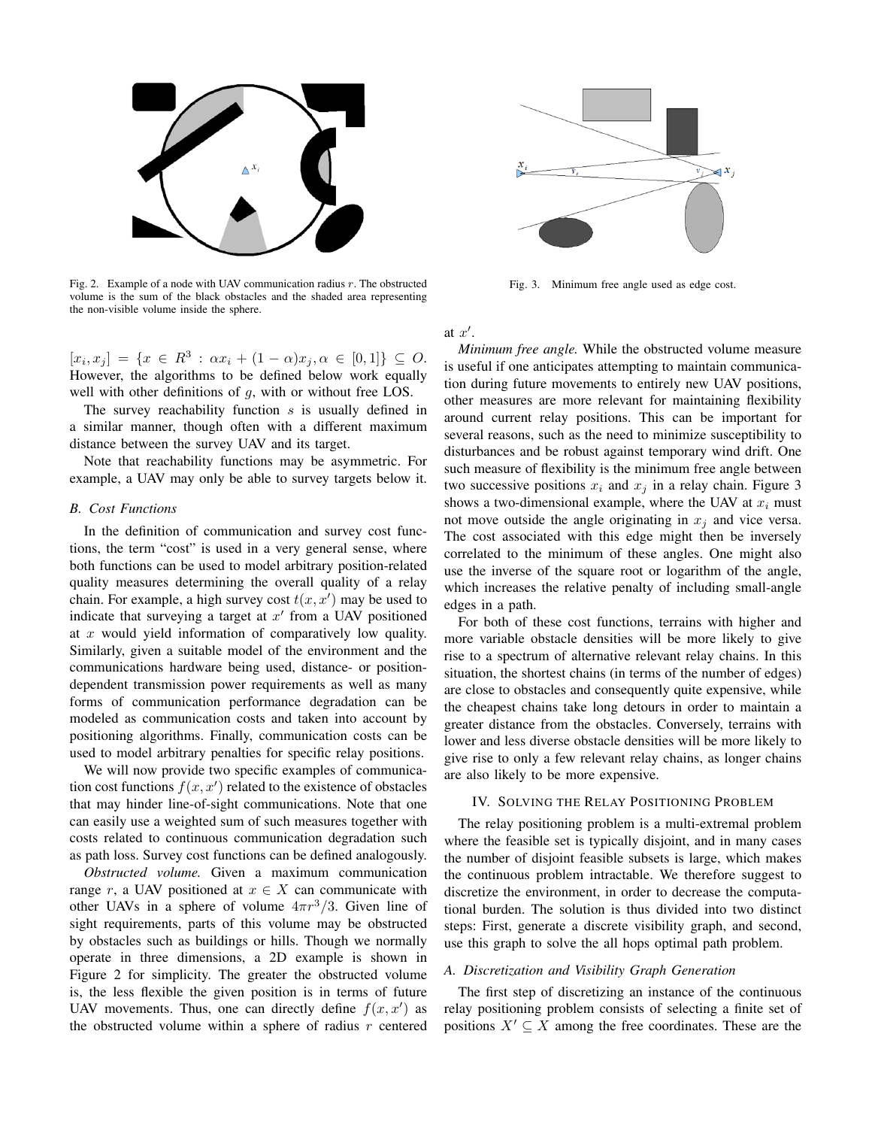

Fig. 2. Example of a node with UAV communication radius  $r$ . The obstructed volume is the sum of the black obstacles and the shaded area representing the non-visible volume inside the sphere.

 $[x_i, x_j] = \{x \in R^3 : \alpha x_i + (1 - \alpha)x_j, \alpha \in [0, 1]\} \subseteq O.$ However, the algorithms to be defined below work equally well with other definitions of  $g$ , with or without free LOS.

The survey reachability function  $s$  is usually defined in a similar manner, though often with a different maximum distance between the survey UAV and its target.

Note that reachability functions may be asymmetric. For example, a UAV may only be able to survey targets below it.

# *B. Cost Functions*

In the definition of communication and survey cost functions, the term "cost" is used in a very general sense, where both functions can be used to model arbitrary position-related quality measures determining the overall quality of a relay chain. For example, a high survey cost  $t(x, x')$  may be used to indicate that surveying a target at  $x'$  from a UAV positioned at x would yield information of comparatively low quality. Similarly, given a suitable model of the environment and the communications hardware being used, distance- or positiondependent transmission power requirements as well as many forms of communication performance degradation can be modeled as communication costs and taken into account by positioning algorithms. Finally, communication costs can be used to model arbitrary penalties for specific relay positions.

We will now provide two specific examples of communication cost functions  $f(x, x')$  related to the existence of obstacles that may hinder line-of-sight communications. Note that one can easily use a weighted sum of such measures together with costs related to continuous communication degradation such as path loss. Survey cost functions can be defined analogously.

*Obstructed volume.* Given a maximum communication range r, a UAV positioned at  $x \in X$  can communicate with other UAVs in a sphere of volume  $4\pi r^3/3$ . Given line of sight requirements, parts of this volume may be obstructed by obstacles such as buildings or hills. Though we normally operate in three dimensions, a 2D example is shown in Figure 2 for simplicity. The greater the obstructed volume is, the less flexible the given position is in terms of future UAV movements. Thus, one can directly define  $f(x, x')$  as the obstructed volume within a sphere of radius  $r$  centered



Fig. 3. Minimum free angle used as edge cost.

at  $x'$ .

*Minimum free angle.* While the obstructed volume measure is useful if one anticipates attempting to maintain communication during future movements to entirely new UAV positions, other measures are more relevant for maintaining flexibility around current relay positions. This can be important for several reasons, such as the need to minimize susceptibility to disturbances and be robust against temporary wind drift. One such measure of flexibility is the minimum free angle between two successive positions  $x_i$  and  $x_j$  in a relay chain. Figure 3 shows a two-dimensional example, where the UAV at  $x_i$  must not move outside the angle originating in  $x_i$  and vice versa. The cost associated with this edge might then be inversely correlated to the minimum of these angles. One might also use the inverse of the square root or logarithm of the angle, which increases the relative penalty of including small-angle edges in a path.

For both of these cost functions, terrains with higher and more variable obstacle densities will be more likely to give rise to a spectrum of alternative relevant relay chains. In this situation, the shortest chains (in terms of the number of edges) are close to obstacles and consequently quite expensive, while the cheapest chains take long detours in order to maintain a greater distance from the obstacles. Conversely, terrains with lower and less diverse obstacle densities will be more likely to give rise to only a few relevant relay chains, as longer chains are also likely to be more expensive.

# IV. SOLVING THE RELAY POSITIONING PROBLEM

The relay positioning problem is a multi-extremal problem where the feasible set is typically disjoint, and in many cases the number of disjoint feasible subsets is large, which makes the continuous problem intractable. We therefore suggest to discretize the environment, in order to decrease the computational burden. The solution is thus divided into two distinct steps: First, generate a discrete visibility graph, and second, use this graph to solve the all hops optimal path problem.

## *A. Discretization and Visibility Graph Generation*

The first step of discretizing an instance of the continuous relay positioning problem consists of selecting a finite set of positions  $X' \subseteq X$  among the free coordinates. These are the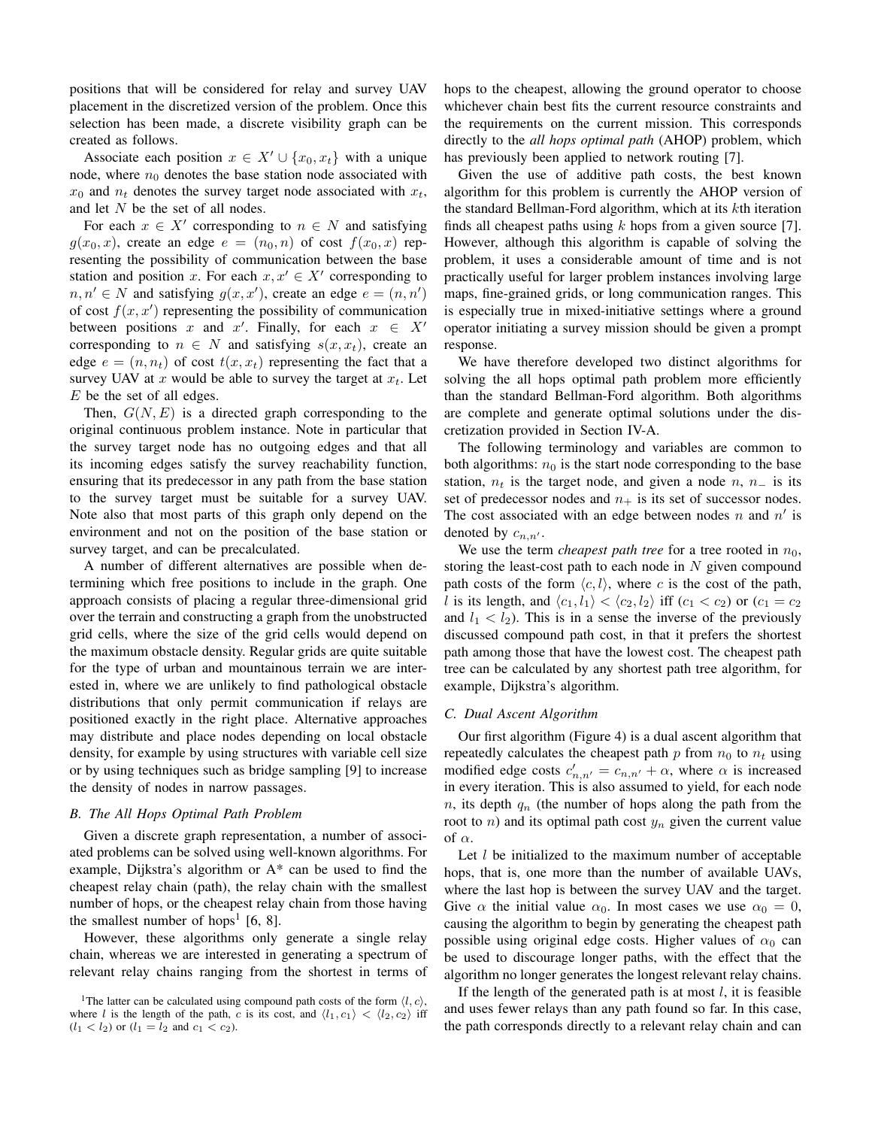positions that will be considered for relay and survey UAV placement in the discretized version of the problem. Once this selection has been made, a discrete visibility graph can be created as follows.

Associate each position  $x \in X' \cup \{x_0, x_t\}$  with a unique node, where  $n_0$  denotes the base station node associated with  $x_0$  and  $n_t$  denotes the survey target node associated with  $x_t$ , and let N be the set of all nodes.

For each  $x \in X'$  corresponding to  $n \in N$  and satisfying  $g(x_0, x)$ , create an edge  $e = (n_0, n)$  of cost  $f(x_0, x)$  representing the possibility of communication between the base station and position x. For each  $x, x' \in X'$  corresponding to  $n, n' \in N$  and satisfying  $g(x, x')$ , create an edge  $e = (n, n')$ of cost  $f(x, x')$  representing the possibility of communication between positions x and x'. Finally, for each  $x \in X'$ corresponding to  $n \in N$  and satisfying  $s(x, x_t)$ , create an edge  $e = (n, n_t)$  of cost  $t(x, x_t)$  representing the fact that a survey UAV at x would be able to survey the target at  $x_t$ . Let  $E$  be the set of all edges.

Then,  $G(N, E)$  is a directed graph corresponding to the original continuous problem instance. Note in particular that the survey target node has no outgoing edges and that all its incoming edges satisfy the survey reachability function, ensuring that its predecessor in any path from the base station to the survey target must be suitable for a survey UAV. Note also that most parts of this graph only depend on the environment and not on the position of the base station or survey target, and can be precalculated.

A number of different alternatives are possible when determining which free positions to include in the graph. One approach consists of placing a regular three-dimensional grid over the terrain and constructing a graph from the unobstructed grid cells, where the size of the grid cells would depend on the maximum obstacle density. Regular grids are quite suitable for the type of urban and mountainous terrain we are interested in, where we are unlikely to find pathological obstacle distributions that only permit communication if relays are positioned exactly in the right place. Alternative approaches may distribute and place nodes depending on local obstacle density, for example by using structures with variable cell size or by using techniques such as bridge sampling [9] to increase the density of nodes in narrow passages.

### *B. The All Hops Optimal Path Problem*

Given a discrete graph representation, a number of associated problems can be solved using well-known algorithms. For example, Dijkstra's algorithm or A\* can be used to find the cheapest relay chain (path), the relay chain with the smallest number of hops, or the cheapest relay chain from those having the smallest number of hops<sup>1</sup> [6, 8].

However, these algorithms only generate a single relay chain, whereas we are interested in generating a spectrum of relevant relay chains ranging from the shortest in terms of hops to the cheapest, allowing the ground operator to choose whichever chain best fits the current resource constraints and the requirements on the current mission. This corresponds directly to the *all hops optimal path* (AHOP) problem, which has previously been applied to network routing [7].

Given the use of additive path costs, the best known algorithm for this problem is currently the AHOP version of the standard Bellman-Ford algorithm, which at its kth iteration finds all cheapest paths using  $k$  hops from a given source [7]. However, although this algorithm is capable of solving the problem, it uses a considerable amount of time and is not practically useful for larger problem instances involving large maps, fine-grained grids, or long communication ranges. This is especially true in mixed-initiative settings where a ground operator initiating a survey mission should be given a prompt response.

We have therefore developed two distinct algorithms for solving the all hops optimal path problem more efficiently than the standard Bellman-Ford algorithm. Both algorithms are complete and generate optimal solutions under the discretization provided in Section IV-A.

The following terminology and variables are common to both algorithms:  $n_0$  is the start node corresponding to the base station,  $n_t$  is the target node, and given a node  $n$ ,  $n_$  is its set of predecessor nodes and  $n_+$  is its set of successor nodes. The cost associated with an edge between nodes  $n$  and  $n'$  is denoted by  $c_{n,n'}$ .

We use the term *cheapest path tree* for a tree rooted in  $n_0$ , storing the least-cost path to each node in  $N$  given compound path costs of the form  $\langle c, l \rangle$ , where c is the cost of the path, l is its length, and  $\langle c_1, l_1 \rangle < \langle c_2, l_2 \rangle$  iff  $(c_1 < c_2)$  or  $(c_1 = c_2)$ and  $l_1 < l_2$ ). This is in a sense the inverse of the previously discussed compound path cost, in that it prefers the shortest path among those that have the lowest cost. The cheapest path tree can be calculated by any shortest path tree algorithm, for example, Dijkstra's algorithm.

# *C. Dual Ascent Algorithm*

Our first algorithm (Figure 4) is a dual ascent algorithm that repeatedly calculates the cheapest path p from  $n_0$  to  $n_t$  using modified edge costs  $c'_{n,n'} = c_{n,n'} + \alpha$ , where  $\alpha$  is increased in every iteration. This is also assumed to yield, for each node  $n$ , its depth  $q_n$  (the number of hops along the path from the root to  $n$ ) and its optimal path cost  $y_n$  given the current value of  $\alpha$ .

Let  $l$  be initialized to the maximum number of acceptable hops, that is, one more than the number of available UAVs, where the last hop is between the survey UAV and the target. Give  $\alpha$  the initial value  $\alpha_0$ . In most cases we use  $\alpha_0 = 0$ , causing the algorithm to begin by generating the cheapest path possible using original edge costs. Higher values of  $\alpha_0$  can be used to discourage longer paths, with the effect that the algorithm no longer generates the longest relevant relay chains.

If the length of the generated path is at most  $l$ , it is feasible and uses fewer relays than any path found so far. In this case, the path corresponds directly to a relevant relay chain and can

<sup>&</sup>lt;sup>1</sup>The latter can be calculated using compound path costs of the form  $\langle l, c \rangle$ , where l is the length of the path, c is its cost, and  $\langle l_1, c_1 \rangle < \langle l_2, c_2 \rangle$  iff  $(l_1 < l_2)$  or  $(l_1 = l_2$  and  $c_1 < c_2$ ).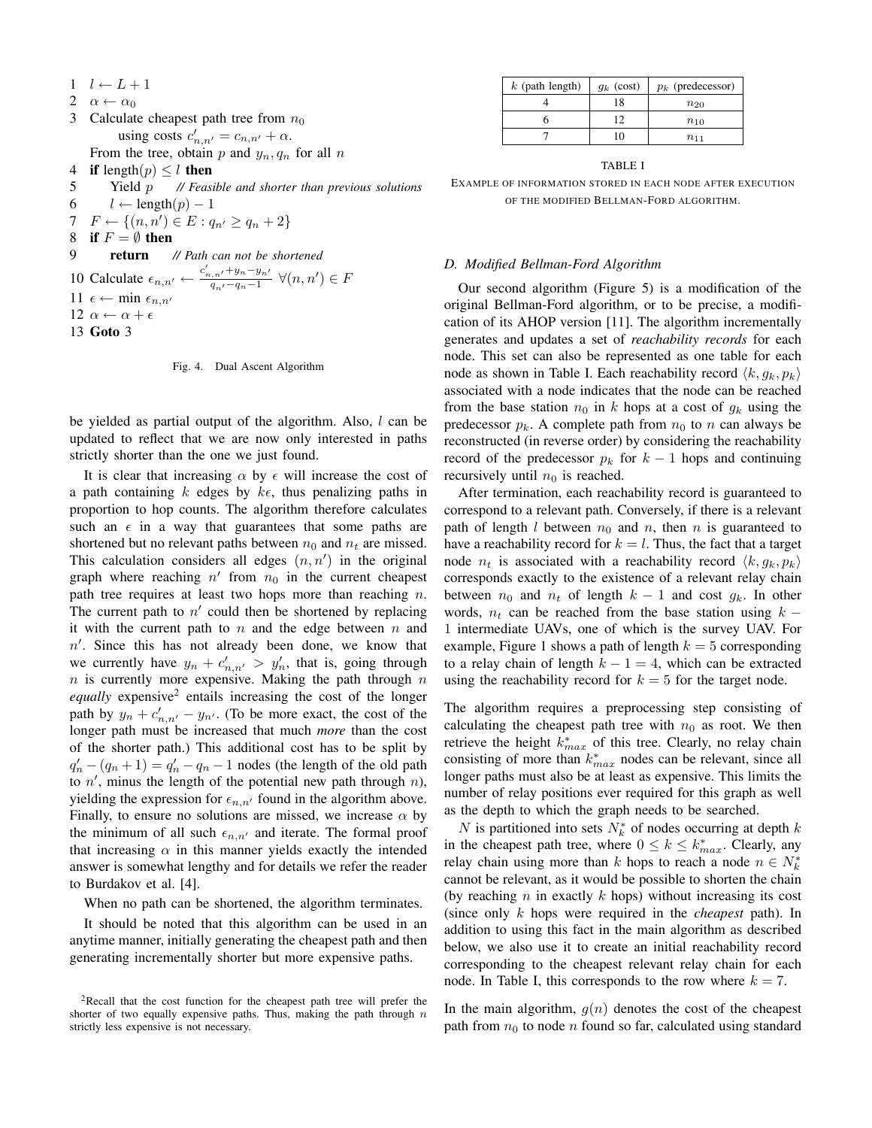- 1  $l \leftarrow L + 1$
- 2  $\alpha \leftarrow \alpha_0$
- 3 Calculate cheapest path tree from  $n_0$ using costs  $c'_{n,n'} = c_{n,n'} + \alpha$ . From the tree, obtain p and  $y_n, q_n$  for all n
- 4 if length $(p) \leq l$  then
- 5 Yield p *// Feasible and shorter than previous solutions*
- 6  $l \leftarrow \text{length}(p) 1$
- 7  $F \leftarrow \{(n, n') \in E : q_{n'} \geq q_n + 2\}$
- 8 if  $F = \emptyset$  then

9 return *// Path can not be shortened*

- 10 Calculate  $\epsilon_{n,n'} \leftarrow \frac{c'_{n,n'} + y_n y_{n'}}{q_{n'-1}-q_n-1}$  $\frac{q_n^{n}y_n^{n} - y_{n}^{n}}{q_{n'} - q_{n} - 1} \ \forall (n, n') \in F$ 11  $\epsilon \leftarrow \min \epsilon_{n,n'}$ 12  $\alpha \leftarrow \alpha + \epsilon$
- 13 Goto 3

Fig. 4. Dual Ascent Algorithm

be yielded as partial output of the algorithm. Also,  $l$  can be updated to reflect that we are now only interested in paths strictly shorter than the one we just found.

It is clear that increasing  $\alpha$  by  $\epsilon$  will increase the cost of a path containing  $k$  edges by  $k\epsilon$ , thus penalizing paths in proportion to hop counts. The algorithm therefore calculates such an  $\epsilon$  in a way that guarantees that some paths are shortened but no relevant paths between  $n_0$  and  $n_t$  are missed. This calculation considers all edges  $(n, n')$  in the original graph where reaching  $n'$  from  $n_0$  in the current cheapest path tree requires at least two hops more than reaching  $n$ . The current path to  $n'$  could then be shortened by replacing it with the current path to  $n$  and the edge between  $n$  and  $n'$ . Since this has not already been done, we know that we currently have  $y_n + c'_{n,n'} > y'_n$ , that is, going through  $n$  is currently more expensive. Making the path through  $n$ equally expensive<sup>2</sup> entails increasing the cost of the longer path by  $y_n + c'_{n,n'} - y_{n'}$ . (To be more exact, the cost of the longer path must be increased that much *more* than the cost of the shorter path.) This additional cost has to be split by  $q'_n - (q_n + 1) = q'_n - q_n - 1$  nodes (the length of the old path to  $n'$ , minus the length of the potential new path through  $n$ ), yielding the expression for  $\epsilon_{n,n'}$  found in the algorithm above. Finally, to ensure no solutions are missed, we increase  $\alpha$  by the minimum of all such  $\epsilon_{n,n'}$  and iterate. The formal proof that increasing  $\alpha$  in this manner yields exactly the intended answer is somewhat lengthy and for details we refer the reader to Burdakov et al. [4].

When no path can be shortened, the algorithm terminates.

It should be noted that this algorithm can be used in an anytime manner, initially generating the cheapest path and then generating incrementally shorter but more expensive paths.

| $k$ (path length) | $g_k$ (cost) | $p_k$ (predecessor) |  |  |
|-------------------|--------------|---------------------|--|--|
|                   | 18           | $n_{20}$            |  |  |
|                   | 12           | $n_{10}$            |  |  |
|                   | ıΩ           | $n_{11}$            |  |  |

TABLE I

EXAMPLE OF INFORMATION STORED IN EACH NODE AFTER EXECUTION OF THE MODIFIED BELLMAN-FORD ALGORITHM.

# *D. Modified Bellman-Ford Algorithm*

Our second algorithm (Figure 5) is a modification of the original Bellman-Ford algorithm, or to be precise, a modification of its AHOP version [11]. The algorithm incrementally generates and updates a set of *reachability records* for each node. This set can also be represented as one table for each node as shown in Table I. Each reachability record  $\langle k, g_k, p_k \rangle$ associated with a node indicates that the node can be reached from the base station  $n_0$  in k hops at a cost of  $g_k$  using the predecessor  $p_k$ . A complete path from  $n_0$  to n can always be reconstructed (in reverse order) by considering the reachability record of the predecessor  $p_k$  for  $k-1$  hops and continuing recursively until  $n_0$  is reached.

After termination, each reachability record is guaranteed to correspond to a relevant path. Conversely, if there is a relevant path of length  $l$  between  $n_0$  and  $n$ , then  $n$  is guaranteed to have a reachability record for  $k = l$ . Thus, the fact that a target node  $n_t$  is associated with a reachability record  $\langle k, g_k, p_k \rangle$ corresponds exactly to the existence of a relevant relay chain between  $n_0$  and  $n_t$  of length  $k-1$  and cost  $g_k$ . In other words,  $n_t$  can be reached from the base station using  $k -$ 1 intermediate UAVs, one of which is the survey UAV. For example, Figure 1 shows a path of length  $k = 5$  corresponding to a relay chain of length  $k - 1 = 4$ , which can be extracted using the reachability record for  $k = 5$  for the target node.

The algorithm requires a preprocessing step consisting of calculating the cheapest path tree with  $n_0$  as root. We then retrieve the height  $k_{max}^*$  of this tree. Clearly, no relay chain consisting of more than  $k_{max}^*$  nodes can be relevant, since all longer paths must also be at least as expensive. This limits the number of relay positions ever required for this graph as well as the depth to which the graph needs to be searched.

N is partitioned into sets  $N_k^*$  of nodes occurring at depth k in the cheapest path tree, where  $0 \le k \le k_{max}^*$ . Clearly, any relay chain using more than k hops to reach a node  $n \in N_k^*$ cannot be relevant, as it would be possible to shorten the chain (by reaching  $n$  in exactly  $k$  hops) without increasing its cost (since only k hops were required in the *cheapest* path). In addition to using this fact in the main algorithm as described below, we also use it to create an initial reachability record corresponding to the cheapest relevant relay chain for each node. In Table I, this corresponds to the row where  $k = 7$ .

In the main algorithm,  $g(n)$  denotes the cost of the cheapest path from  $n_0$  to node n found so far, calculated using standard

 $2$ Recall that the cost function for the cheapest path tree will prefer the shorter of two equally expensive paths. Thus, making the path through  $n$ strictly less expensive is not necessary.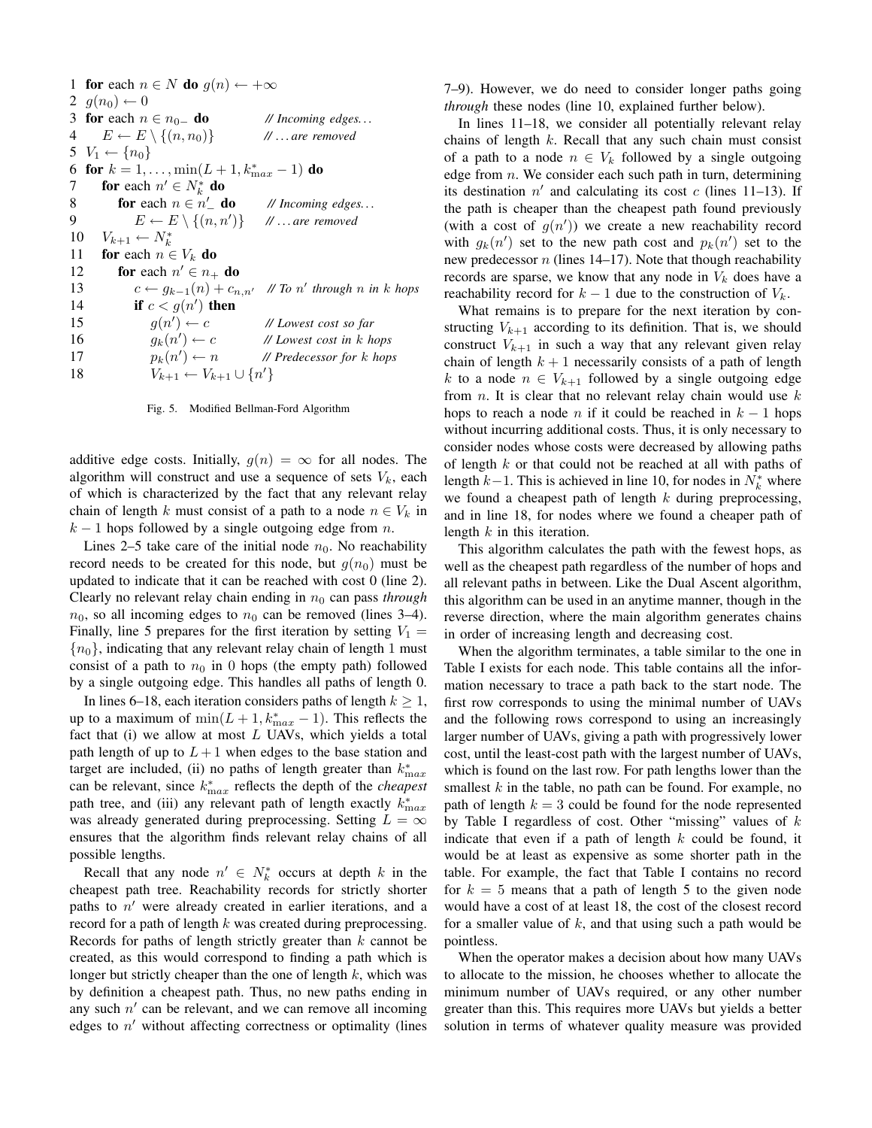1 for each  $n \in N$  do  $g(n) \leftarrow +\infty$ 2  $g(n_0) \leftarrow 0$ 3 **for** each  $n \in n_0$  **do** *// Incoming edges...* 4  $E \leftarrow E \setminus \{(n, n_0)\}$  // ... are removed 5  $V_1 \leftarrow \{n_0\}$ 6 for  $k = 1, ..., min(L+1, k_{max}^* - 1)$  do 7 for each  $n' \in N_k^*$  do 8 for each  $n \in n'$ <sup>−</sup> do *// Incoming edges. . .* 9  $E \leftarrow E \setminus \{(n, n')\}$ )} *// . . . are removed* 10  $V_{k+1} \leftarrow N_k^*$ 11 **for** each  $n \in V_k$  **do** 12 **for** each  $n' \in n_+$  **do** 13  $c \leftarrow g_{k-1}(n) + c_{n,n'}$ 0 *through* n *in* k *hops* 14 if  $c < g(n')$  then 15  $g(n)$ ) ← c *// Lowest cost so far* 16  $g_k(n)$ ) ← c *// Lowest cost in* k *hops* 17  $p_k(n)$ ) ← n *// Predecessor for* k *hops* 18  $V_{k+1} \leftarrow V_{k+1} \cup \{n'\}$ 

Fig. 5. Modified Bellman-Ford Algorithm

additive edge costs. Initially,  $g(n) = \infty$  for all nodes. The algorithm will construct and use a sequence of sets  $V_k$ , each of which is characterized by the fact that any relevant relay chain of length k must consist of a path to a node  $n \in V_k$  in  $k-1$  hops followed by a single outgoing edge from n.

Lines 2–5 take care of the initial node  $n_0$ . No reachability record needs to be created for this node, but  $q(n_0)$  must be updated to indicate that it can be reached with cost 0 (line 2). Clearly no relevant relay chain ending in  $n_0$  can pass *through*  $n_0$ , so all incoming edges to  $n_0$  can be removed (lines 3–4). Finally, line 5 prepares for the first iteration by setting  $V_1$  =  ${n_0}$ , indicating that any relevant relay chain of length 1 must consist of a path to  $n_0$  in 0 hops (the empty path) followed by a single outgoing edge. This handles all paths of length 0.

In lines 6–18, each iteration considers paths of length  $k \geq 1$ , up to a maximum of  $min(L + 1, k_{max}^* - 1)$ . This reflects the fact that  $(i)$  we allow at most  $L$  UAVs, which yields a total path length of up to  $L+1$  when edges to the base station and target are included, (ii) no paths of length greater than  $k_{\text{max}}^*$ can be relevant, since  $k_{\text{max}}^*$  reflects the depth of the *cheapest* path tree, and (iii) any relevant path of length exactly  $k_{max}^*$ was already generated during preprocessing. Setting  $L = \infty$ ensures that the algorithm finds relevant relay chains of all possible lengths.

Recall that any node  $n' \in N_k^*$  occurs at depth k in the cheapest path tree. Reachability records for strictly shorter paths to  $n'$  were already created in earlier iterations, and a record for a path of length k was created during preprocessing. Records for paths of length strictly greater than  $k$  cannot be created, as this would correspond to finding a path which is longer but strictly cheaper than the one of length  $k$ , which was by definition a cheapest path. Thus, no new paths ending in any such  $n'$  can be relevant, and we can remove all incoming edges to  $n'$  without affecting correctness or optimality (lines

7–9). However, we do need to consider longer paths going *through* these nodes (line 10, explained further below).

In lines 11–18, we consider all potentially relevant relay chains of length  $k$ . Recall that any such chain must consist of a path to a node  $n \in V_k$  followed by a single outgoing edge from  $n$ . We consider each such path in turn, determining its destination  $n'$  and calculating its cost  $c$  (lines 11-13). If the path is cheaper than the cheapest path found previously (with a cost of  $g(n')$ ) we create a new reachability record with  $g_k(n')$  set to the new path cost and  $p_k(n')$  set to the new predecessor  $n$  (lines 14–17). Note that though reachability records are sparse, we know that any node in  $V_k$  does have a reachability record for  $k - 1$  due to the construction of  $V_k$ .

What remains is to prepare for the next iteration by constructing  $V_{k+1}$  according to its definition. That is, we should construct  $V_{k+1}$  in such a way that any relevant given relay chain of length  $k + 1$  necessarily consists of a path of length k to a node  $n \in V_{k+1}$  followed by a single outgoing edge from  $n$ . It is clear that no relevant relay chain would use  $k$ hops to reach a node *n* if it could be reached in  $k - 1$  hops without incurring additional costs. Thus, it is only necessary to consider nodes whose costs were decreased by allowing paths of length  $k$  or that could not be reached at all with paths of length  $k-1$ . This is achieved in line 10, for nodes in  $N_k^*$  where we found a cheapest path of length  $k$  during preprocessing, and in line 18, for nodes where we found a cheaper path of length  $k$  in this iteration.

This algorithm calculates the path with the fewest hops, as well as the cheapest path regardless of the number of hops and all relevant paths in between. Like the Dual Ascent algorithm, this algorithm can be used in an anytime manner, though in the reverse direction, where the main algorithm generates chains in order of increasing length and decreasing cost.

When the algorithm terminates, a table similar to the one in Table I exists for each node. This table contains all the information necessary to trace a path back to the start node. The first row corresponds to using the minimal number of UAVs and the following rows correspond to using an increasingly larger number of UAVs, giving a path with progressively lower cost, until the least-cost path with the largest number of UAVs, which is found on the last row. For path lengths lower than the smallest  $k$  in the table, no path can be found. For example, no path of length  $k = 3$  could be found for the node represented by Table I regardless of cost. Other "missing" values of  $k$ indicate that even if a path of length  $k$  could be found, it would be at least as expensive as some shorter path in the table. For example, the fact that Table I contains no record for  $k = 5$  means that a path of length 5 to the given node would have a cost of at least 18, the cost of the closest record for a smaller value of  $k$ , and that using such a path would be pointless.

When the operator makes a decision about how many UAVs to allocate to the mission, he chooses whether to allocate the minimum number of UAVs required, or any other number greater than this. This requires more UAVs but yields a better solution in terms of whatever quality measure was provided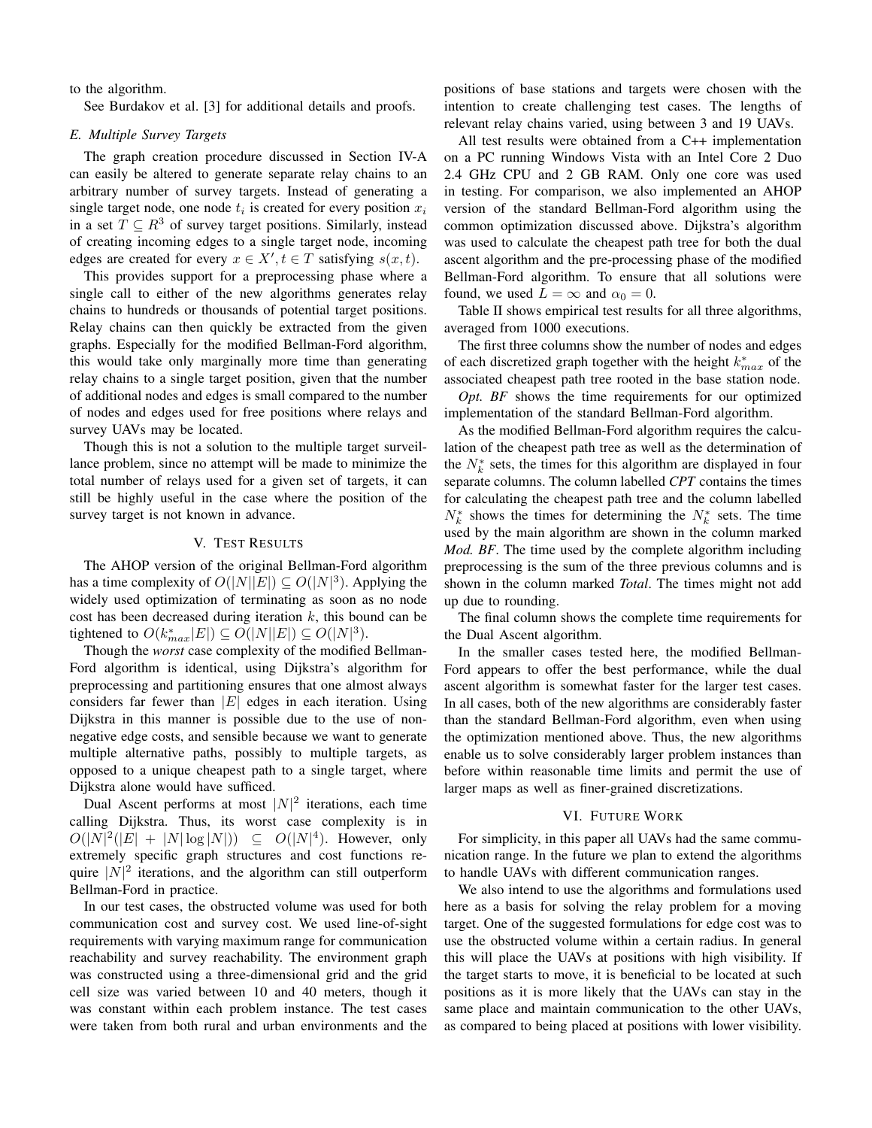to the algorithm.

See Burdakov et al. [3] for additional details and proofs.

# *E. Multiple Survey Targets*

The graph creation procedure discussed in Section IV-A can easily be altered to generate separate relay chains to an arbitrary number of survey targets. Instead of generating a single target node, one node  $t_i$  is created for every position  $x_i$ in a set  $T \subseteq R^3$  of survey target positions. Similarly, instead of creating incoming edges to a single target node, incoming edges are created for every  $x \in X', t \in T$  satisfying  $s(x, t)$ .

This provides support for a preprocessing phase where a single call to either of the new algorithms generates relay chains to hundreds or thousands of potential target positions. Relay chains can then quickly be extracted from the given graphs. Especially for the modified Bellman-Ford algorithm, this would take only marginally more time than generating relay chains to a single target position, given that the number of additional nodes and edges is small compared to the number of nodes and edges used for free positions where relays and survey UAVs may be located.

Though this is not a solution to the multiple target surveillance problem, since no attempt will be made to minimize the total number of relays used for a given set of targets, it can still be highly useful in the case where the position of the survey target is not known in advance.

# V. TEST RESULTS

The AHOP version of the original Bellman-Ford algorithm has a time complexity of  $O(|N||E|) \subseteq O(|N|^3)$ . Applying the widely used optimization of terminating as soon as no node cost has been decreased during iteration  $k$ , this bound can be tightened to  $O(k_{max}^*|E|) \subseteq O(|N||E|) \subseteq O(|N|^3)$ .

Though the *worst* case complexity of the modified Bellman-Ford algorithm is identical, using Dijkstra's algorithm for preprocessing and partitioning ensures that one almost always considers far fewer than  $|E|$  edges in each iteration. Using Dijkstra in this manner is possible due to the use of nonnegative edge costs, and sensible because we want to generate multiple alternative paths, possibly to multiple targets, as opposed to a unique cheapest path to a single target, where Dijkstra alone would have sufficed.

Dual Ascent performs at most  $|N|^2$  iterations, each time calling Dijkstra. Thus, its worst case complexity is in  $O(|N|^2(|E| + |N|\log|N|)) \subseteq O(|N|^4)$ . However, only extremely specific graph structures and cost functions require  $|N|^2$  iterations, and the algorithm can still outperform Bellman-Ford in practice.

In our test cases, the obstructed volume was used for both communication cost and survey cost. We used line-of-sight requirements with varying maximum range for communication reachability and survey reachability. The environment graph was constructed using a three-dimensional grid and the grid cell size was varied between 10 and 40 meters, though it was constant within each problem instance. The test cases were taken from both rural and urban environments and the

positions of base stations and targets were chosen with the intention to create challenging test cases. The lengths of relevant relay chains varied, using between 3 and 19 UAVs.

All test results were obtained from a C++ implementation on a PC running Windows Vista with an Intel Core 2 Duo 2.4 GHz CPU and 2 GB RAM. Only one core was used in testing. For comparison, we also implemented an AHOP version of the standard Bellman-Ford algorithm using the common optimization discussed above. Dijkstra's algorithm was used to calculate the cheapest path tree for both the dual ascent algorithm and the pre-processing phase of the modified Bellman-Ford algorithm. To ensure that all solutions were found, we used  $L = \infty$  and  $\alpha_0 = 0$ .

Table II shows empirical test results for all three algorithms, averaged from 1000 executions.

The first three columns show the number of nodes and edges of each discretized graph together with the height  $k_{max}^*$  of the associated cheapest path tree rooted in the base station node.

*Opt. BF* shows the time requirements for our optimized implementation of the standard Bellman-Ford algorithm.

As the modified Bellman-Ford algorithm requires the calculation of the cheapest path tree as well as the determination of the  $N_k^*$  sets, the times for this algorithm are displayed in four separate columns. The column labelled *CPT* contains the times for calculating the cheapest path tree and the column labelled  $N_k^*$  shows the times for determining the  $N_k^*$  sets. The time used by the main algorithm are shown in the column marked *Mod. BF*. The time used by the complete algorithm including preprocessing is the sum of the three previous columns and is shown in the column marked *Total*. The times might not add up due to rounding.

The final column shows the complete time requirements for the Dual Ascent algorithm.

In the smaller cases tested here, the modified Bellman-Ford appears to offer the best performance, while the dual ascent algorithm is somewhat faster for the larger test cases. In all cases, both of the new algorithms are considerably faster than the standard Bellman-Ford algorithm, even when using the optimization mentioned above. Thus, the new algorithms enable us to solve considerably larger problem instances than before within reasonable time limits and permit the use of larger maps as well as finer-grained discretizations.

### VI. FUTURE WORK

For simplicity, in this paper all UAVs had the same communication range. In the future we plan to extend the algorithms to handle UAVs with different communication ranges.

We also intend to use the algorithms and formulations used here as a basis for solving the relay problem for a moving target. One of the suggested formulations for edge cost was to use the obstructed volume within a certain radius. In general this will place the UAVs at positions with high visibility. If the target starts to move, it is beneficial to be located at such positions as it is more likely that the UAVs can stay in the same place and maintain communication to the other UAVs, as compared to being placed at positions with lower visibility.